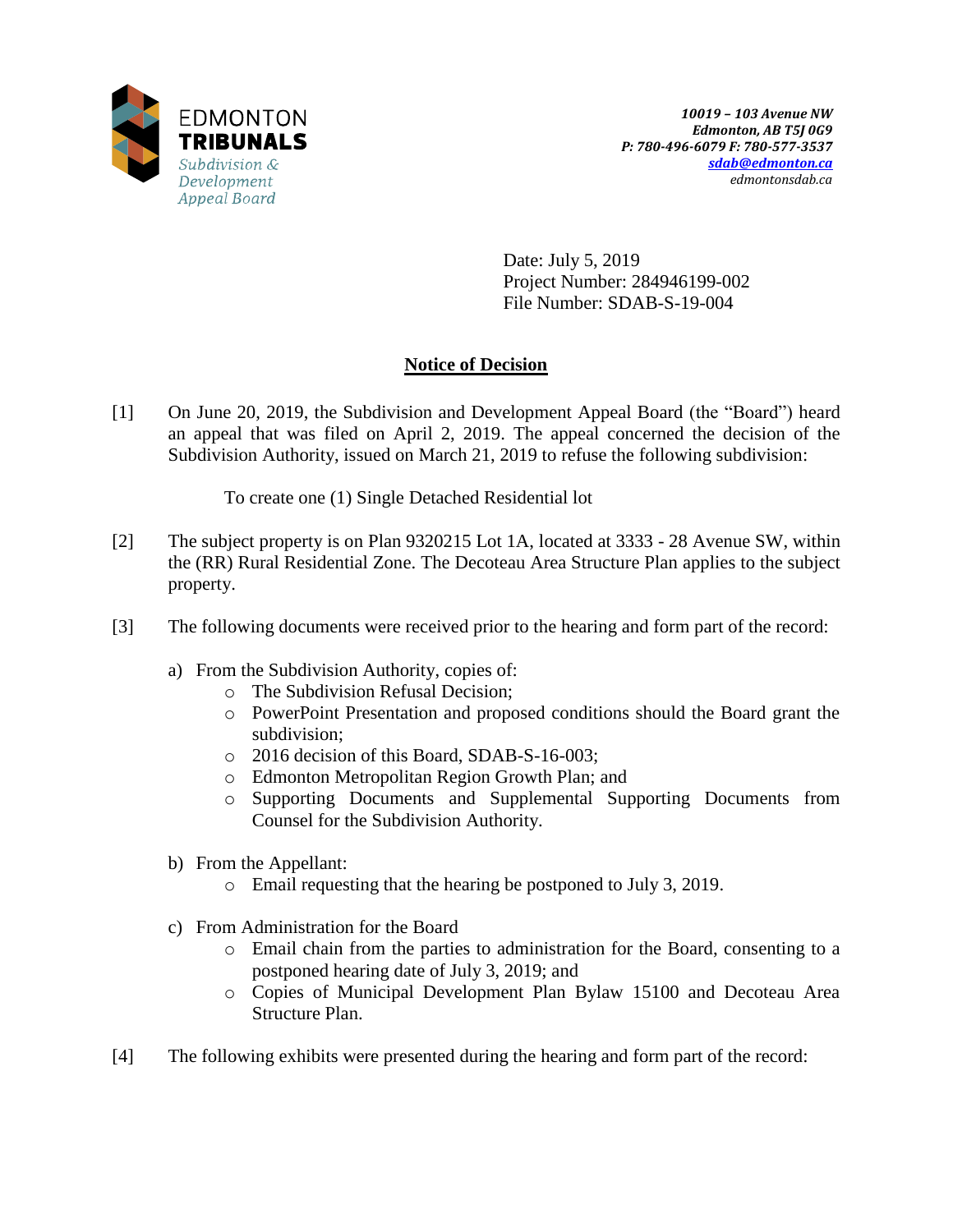

Date: July 5, 2019 Project Number: 284946199-002 File Number: SDAB-S-19-004

# **Notice of Decision**

[1] On June 20, 2019, the Subdivision and Development Appeal Board (the "Board") heard an appeal that was filed on April 2, 2019. The appeal concerned the decision of the Subdivision Authority, issued on March 21, 2019 to refuse the following subdivision:

To create one (1) Single Detached Residential lot

- [2] The subject property is on Plan 9320215 Lot 1A, located at 3333 28 Avenue SW, within the (RR) Rural Residential Zone. The Decoteau Area Structure Plan applies to the subject property.
- [3] The following documents were received prior to the hearing and form part of the record:
	- a) From the Subdivision Authority, copies of:
		- o The Subdivision Refusal Decision;
		- o PowerPoint Presentation and proposed conditions should the Board grant the subdivision;
		- o 2016 decision of this Board, SDAB-S-16-003;
		- o Edmonton Metropolitan Region Growth Plan; and
		- o Supporting Documents and Supplemental Supporting Documents from Counsel for the Subdivision Authority.
	- b) From the Appellant:
		- o Email requesting that the hearing be postponed to July 3, 2019.
	- c) From Administration for the Board
		- o Email chain from the parties to administration for the Board, consenting to a postponed hearing date of July 3, 2019; and
		- o Copies of Municipal Development Plan Bylaw 15100 and Decoteau Area Structure Plan.
- [4] The following exhibits were presented during the hearing and form part of the record: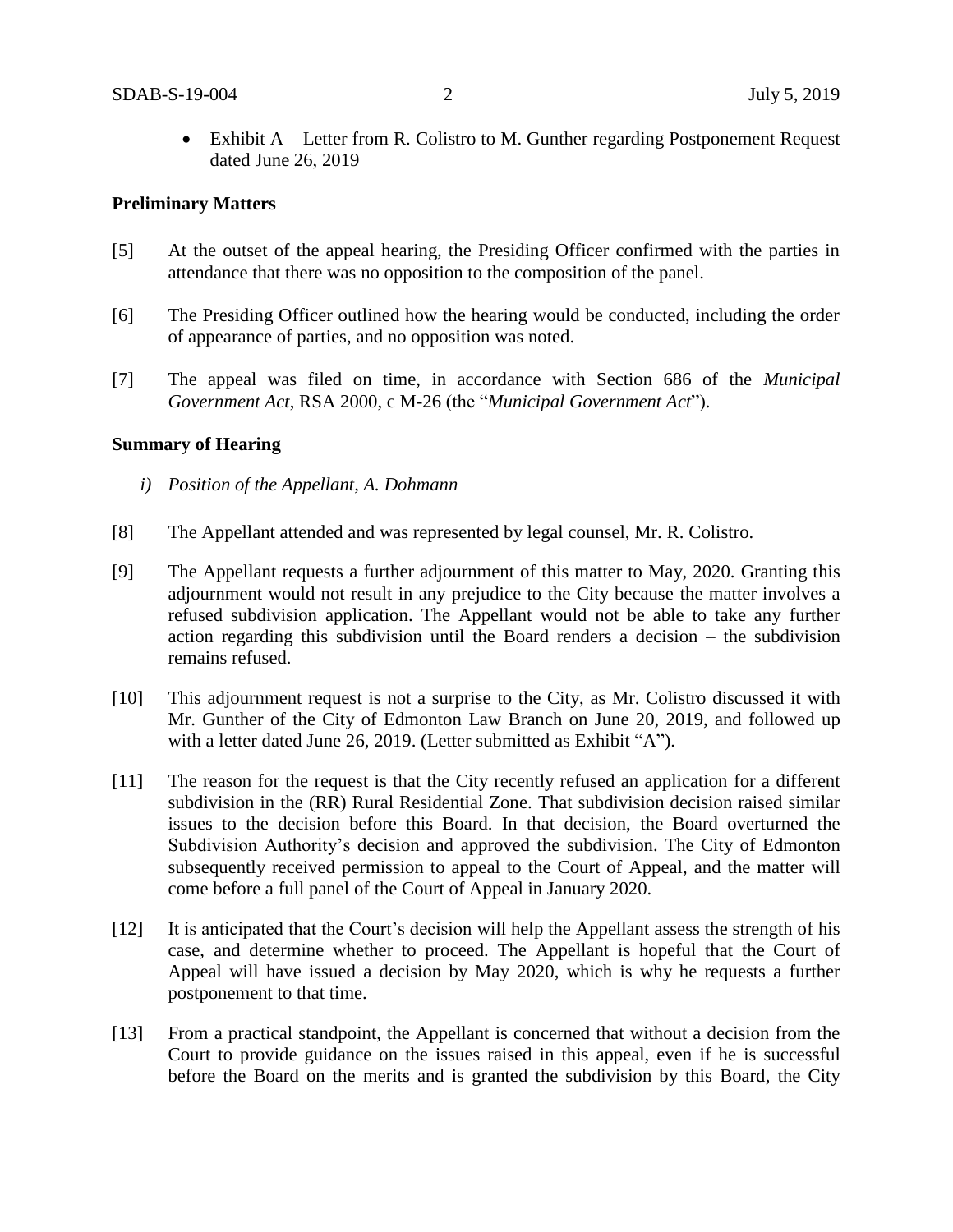• Exhibit A – Letter from R. Colistro to M. Gunther regarding Postponement Request dated June 26, 2019

### **Preliminary Matters**

- [5] At the outset of the appeal hearing, the Presiding Officer confirmed with the parties in attendance that there was no opposition to the composition of the panel.
- [6] The Presiding Officer outlined how the hearing would be conducted, including the order of appearance of parties, and no opposition was noted.
- [7] The appeal was filed on time, in accordance with Section 686 of the *Municipal Government Act*, RSA 2000, c M-26 (the "*Municipal Government Act*").

#### **Summary of Hearing**

- *i) Position of the Appellant, A. Dohmann*
- [8] The Appellant attended and was represented by legal counsel, Mr. R. Colistro.
- [9] The Appellant requests a further adjournment of this matter to May, 2020. Granting this adjournment would not result in any prejudice to the City because the matter involves a refused subdivision application. The Appellant would not be able to take any further action regarding this subdivision until the Board renders a decision – the subdivision remains refused.
- [10] This adjournment request is not a surprise to the City, as Mr. Colistro discussed it with Mr. Gunther of the City of Edmonton Law Branch on June 20, 2019, and followed up with a letter dated June 26, 2019. (Letter submitted as Exhibit "A").
- [11] The reason for the request is that the City recently refused an application for a different subdivision in the (RR) Rural Residential Zone. That subdivision decision raised similar issues to the decision before this Board. In that decision, the Board overturned the Subdivision Authority's decision and approved the subdivision. The City of Edmonton subsequently received permission to appeal to the Court of Appeal, and the matter will come before a full panel of the Court of Appeal in January 2020.
- [12] It is anticipated that the Court's decision will help the Appellant assess the strength of his case, and determine whether to proceed. The Appellant is hopeful that the Court of Appeal will have issued a decision by May 2020, which is why he requests a further postponement to that time.
- [13] From a practical standpoint, the Appellant is concerned that without a decision from the Court to provide guidance on the issues raised in this appeal, even if he is successful before the Board on the merits and is granted the subdivision by this Board, the City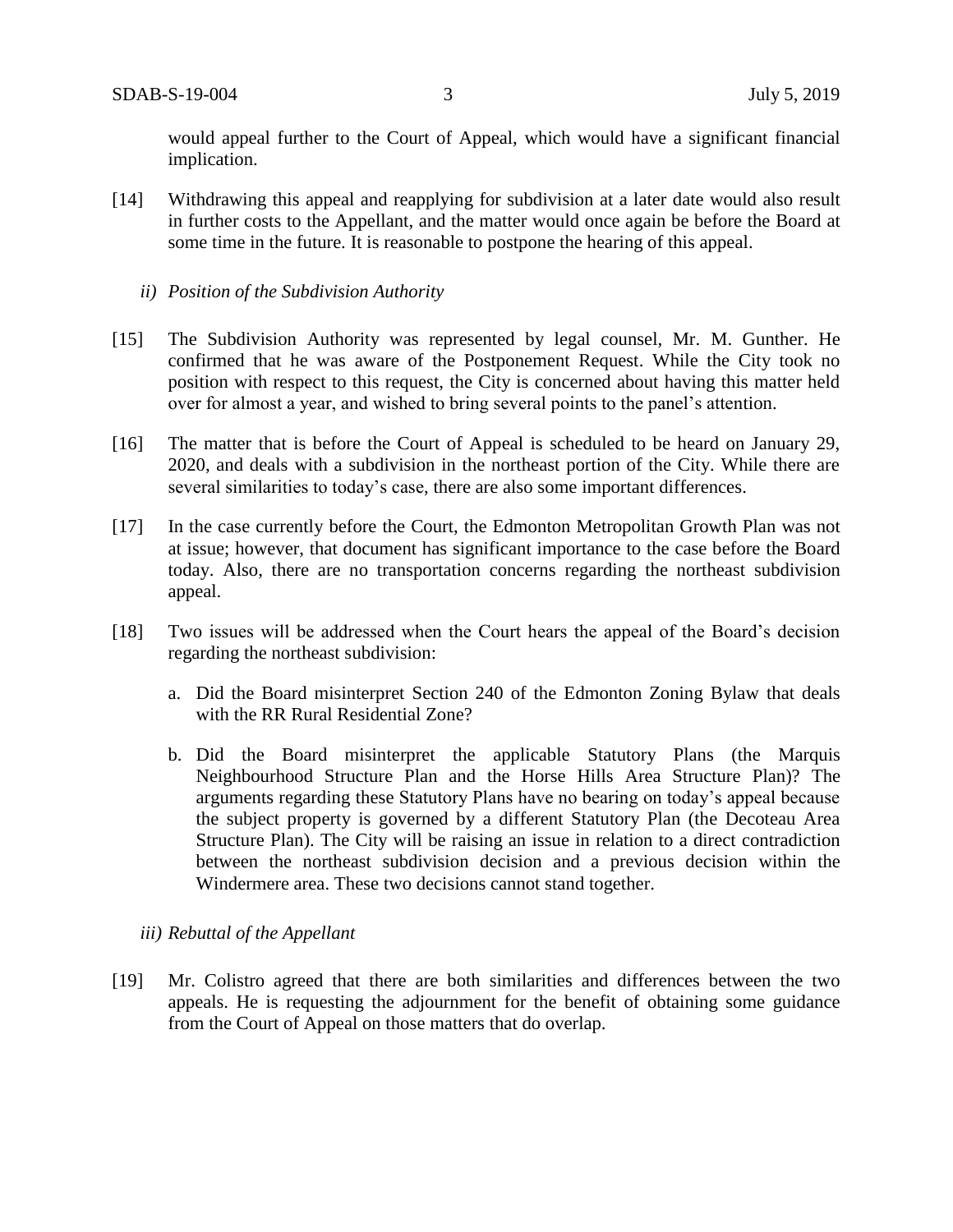would appeal further to the Court of Appeal, which would have a significant financial implication.

- [14] Withdrawing this appeal and reapplying for subdivision at a later date would also result in further costs to the Appellant, and the matter would once again be before the Board at some time in the future. It is reasonable to postpone the hearing of this appeal.
	- *ii) Position of the Subdivision Authority*
- [15] The Subdivision Authority was represented by legal counsel, Mr. M. Gunther. He confirmed that he was aware of the Postponement Request. While the City took no position with respect to this request, the City is concerned about having this matter held over for almost a year, and wished to bring several points to the panel's attention.
- [16] The matter that is before the Court of Appeal is scheduled to be heard on January 29, 2020, and deals with a subdivision in the northeast portion of the City. While there are several similarities to today's case, there are also some important differences.
- [17] In the case currently before the Court, the Edmonton Metropolitan Growth Plan was not at issue; however, that document has significant importance to the case before the Board today. Also, there are no transportation concerns regarding the northeast subdivision appeal.
- [18] Two issues will be addressed when the Court hears the appeal of the Board's decision regarding the northeast subdivision:
	- a. Did the Board misinterpret Section 240 of the Edmonton Zoning Bylaw that deals with the RR Rural Residential Zone?
	- b. Did the Board misinterpret the applicable Statutory Plans (the Marquis Neighbourhood Structure Plan and the Horse Hills Area Structure Plan)? The arguments regarding these Statutory Plans have no bearing on today's appeal because the subject property is governed by a different Statutory Plan (the Decoteau Area Structure Plan). The City will be raising an issue in relation to a direct contradiction between the northeast subdivision decision and a previous decision within the Windermere area. These two decisions cannot stand together.

#### *iii) Rebuttal of the Appellant*

[19] Mr. Colistro agreed that there are both similarities and differences between the two appeals. He is requesting the adjournment for the benefit of obtaining some guidance from the Court of Appeal on those matters that do overlap.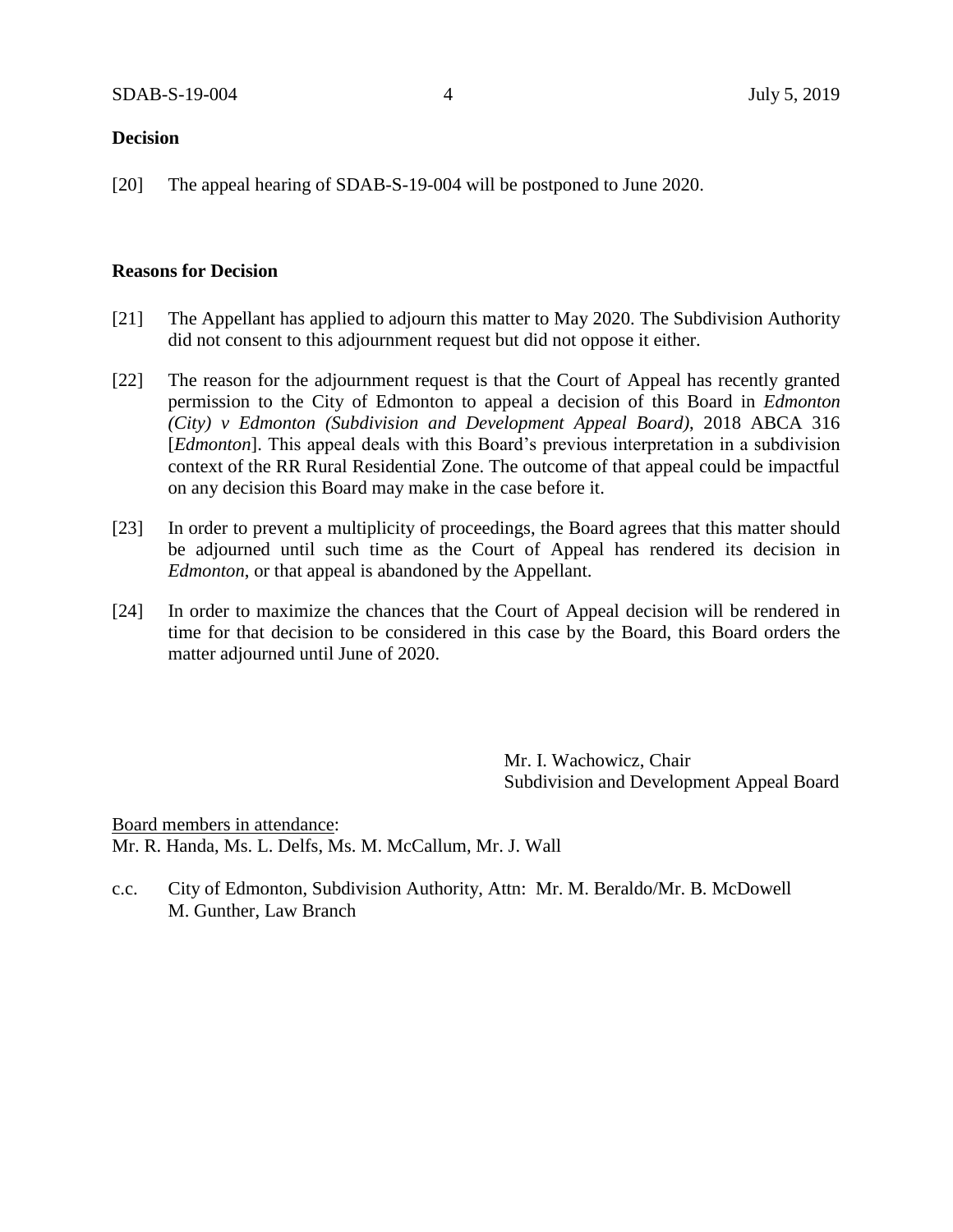# **Decision**

[20] The appeal hearing of SDAB-S-19-004 will be postponed to June 2020.

## **Reasons for Decision**

- [21] The Appellant has applied to adjourn this matter to May 2020. The Subdivision Authority did not consent to this adjournment request but did not oppose it either.
- [22] The reason for the adjournment request is that the Court of Appeal has recently granted permission to the City of Edmonton to appeal a decision of this Board in *Edmonton (City) v Edmonton (Subdivision and Development Appeal Board)*, 2018 ABCA 316 [*Edmonton*]. This appeal deals with this Board's previous interpretation in a subdivision context of the RR Rural Residential Zone. The outcome of that appeal could be impactful on any decision this Board may make in the case before it.
- [23] In order to prevent a multiplicity of proceedings, the Board agrees that this matter should be adjourned until such time as the Court of Appeal has rendered its decision in *Edmonton*, or that appeal is abandoned by the Appellant.
- [24] In order to maximize the chances that the Court of Appeal decision will be rendered in time for that decision to be considered in this case by the Board, this Board orders the matter adjourned until June of 2020.

Mr. I. Wachowicz, Chair Subdivision and Development Appeal Board

Board members in attendance: Mr. R. Handa, Ms. L. Delfs, Ms. M. McCallum, Mr. J. Wall

c.c. City of Edmonton, Subdivision Authority, Attn: Mr. M. Beraldo/Mr. B. McDowell M. Gunther, Law Branch